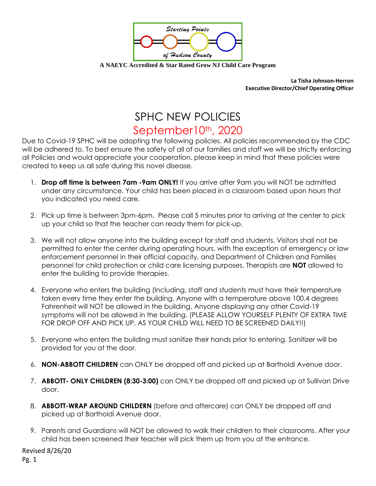

**A NAEYC Accredited & Star Rated Grow NJ Child Care Program**

**La Tisha Johnson-Herron Executive Director/Chief Operating Officer** 

## SPHC NEW POLICIES September10th, 2020

Due to Covid-19 SPHC will be adopting the following policies. All policies recommended by the CDC will be adhered to. To best ensure the safety of all of our families and staff we will be strictly enforcing all Policies and would appreciate your cooperation. please keep in mind that these policies were created to keep us all safe during this novel disease.

- 1. **Drop off time is between 7am -9am ONLY!** If you arrive after 9am you will NOT be admitted under any circumstance. Your child has been placed in a classroom based upon hours that you indicated you need care.
- 2. Pick up time is between 3pm-6pm. Please call 5 minutes prior to arriving at the center to pick up your child so that the teacher can ready them for pick-up.
- 3. We will not allow anyone into the building except for staff and students. Visitors shall not be permitted to enter the center during operating hours, with the exception of emergency or law enforcement personnel in their official capacity, and Department of Children and Families personnel for child protection or child care licensing purposes. Therapists are **NOT** allowed to enter the building to provide therapies.
- 4. Everyone who enters the building (Including, staff and students must have their temperature taken every time they enter the building. Anyone with a temperature above 100.4 degrees Fahrenheit will NOT be allowed in the building. Anyone displaying any other Covid-19 symptoms will not be allowed in the building. (PLEASE ALLOW YOURSELF PLENTY OF EXTRA TIME FOR DROP OFF AND PICK UP, AS YOUR CHILD WILL NEED TO BE SCREENED DAILY!!)
- 5. Everyone who enters the building must sanitize their hands prior to entering. Sanitizer will be provided for you at the door.
- 6. **NON-ABBOTT CHILDREN** can ONLY be dropped off and picked up at Bartholdi Avenue door.
- 7. **ABBOTT- ONLY CHILDREN (8:30-3:00)** can ONLY be dropped off and picked up at Sullivan Drive door.
- 8. **ABBOTT-WRAP AROUND CHILDERN** (before and aftercare) can ONLY be dropped off and picked up at Bartholdi Avenue door.
- 9. Parents and Guardians will NOT be allowed to walk their children to their classrooms. After your child has been screened their teacher will pick them up from you at the entrance.

Revised 8/26/20